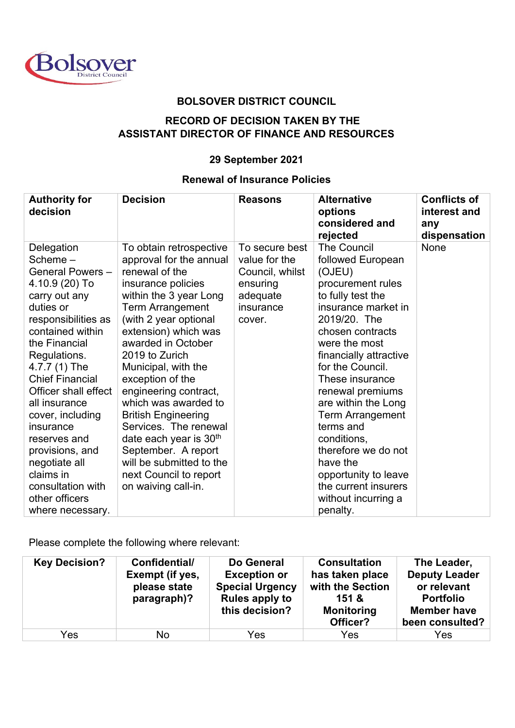

## **BOLSOVER DISTRICT COUNCIL**

## **RECORD OF DECISION TAKEN BY THE ASSISTANT DIRECTOR OF FINANCE AND RESOURCES**

## **29 September 2021**

## **Renewal of Insurance Policies**

| <b>Authority for</b><br>decision                                                                                                                                                                                                                                                                                                                                                                                          | <b>Decision</b>                                                                                                                                                                                                                                                                                                                                                                                                                                                                                                             | <b>Reasons</b>                                                                                    | <b>Alternative</b><br>options<br>considered and<br>rejected                                                                                                                                                                                                                                                                                                                                                                                                      | <b>Conflicts of</b><br>interest and<br>any<br>dispensation |
|---------------------------------------------------------------------------------------------------------------------------------------------------------------------------------------------------------------------------------------------------------------------------------------------------------------------------------------------------------------------------------------------------------------------------|-----------------------------------------------------------------------------------------------------------------------------------------------------------------------------------------------------------------------------------------------------------------------------------------------------------------------------------------------------------------------------------------------------------------------------------------------------------------------------------------------------------------------------|---------------------------------------------------------------------------------------------------|------------------------------------------------------------------------------------------------------------------------------------------------------------------------------------------------------------------------------------------------------------------------------------------------------------------------------------------------------------------------------------------------------------------------------------------------------------------|------------------------------------------------------------|
| Delegation<br>Scheme $-$<br>General Powers -<br>4.10.9 (20) To<br>carry out any<br>duties or<br>responsibilities as<br>contained within<br>the Financial<br>Regulations.<br>4.7.7 (1) The<br><b>Chief Financial</b><br>Officer shall effect<br>all insurance<br>cover, including<br>insurance<br>reserves and<br>provisions, and<br>negotiate all<br>claims in<br>consultation with<br>other officers<br>where necessary. | To obtain retrospective<br>approval for the annual<br>renewal of the<br>insurance policies<br>within the 3 year Long<br><b>Term Arrangement</b><br>(with 2 year optional<br>extension) which was<br>awarded in October<br>2019 to Zurich<br>Municipal, with the<br>exception of the<br>engineering contract,<br>which was awarded to<br><b>British Engineering</b><br>Services. The renewal<br>date each year is $30th$<br>September. A report<br>will be submitted to the<br>next Council to report<br>on waiving call-in. | To secure best<br>value for the<br>Council, whilst<br>ensuring<br>adequate<br>insurance<br>cover. | <b>The Council</b><br>followed European<br>(OJEU)<br>procurement rules<br>to fully test the<br>insurance market in<br>2019/20. The<br>chosen contracts<br>were the most<br>financially attractive<br>for the Council.<br>These insurance<br>renewal premiums<br>are within the Long<br><b>Term Arrangement</b><br>terms and<br>conditions,<br>therefore we do not<br>have the<br>opportunity to leave<br>the current insurers<br>without incurring a<br>penalty. | None                                                       |

Please complete the following where relevant:

| <b>Key Decision?</b> | Confidential/<br>Exempt (if yes,<br>please state<br>paragraph)? | Do General<br><b>Exception or</b><br><b>Special Urgency</b><br><b>Rules apply to</b><br>this decision? | <b>Consultation</b><br>has taken place<br>with the Section<br>151 &<br><b>Monitoring</b><br>Officer? | The Leader,<br><b>Deputy Leader</b><br>or relevant<br><b>Portfolio</b><br><b>Member have</b><br>been consulted? |
|----------------------|-----------------------------------------------------------------|--------------------------------------------------------------------------------------------------------|------------------------------------------------------------------------------------------------------|-----------------------------------------------------------------------------------------------------------------|
| Yes                  | No                                                              | Yes                                                                                                    | Yes                                                                                                  | Yes                                                                                                             |